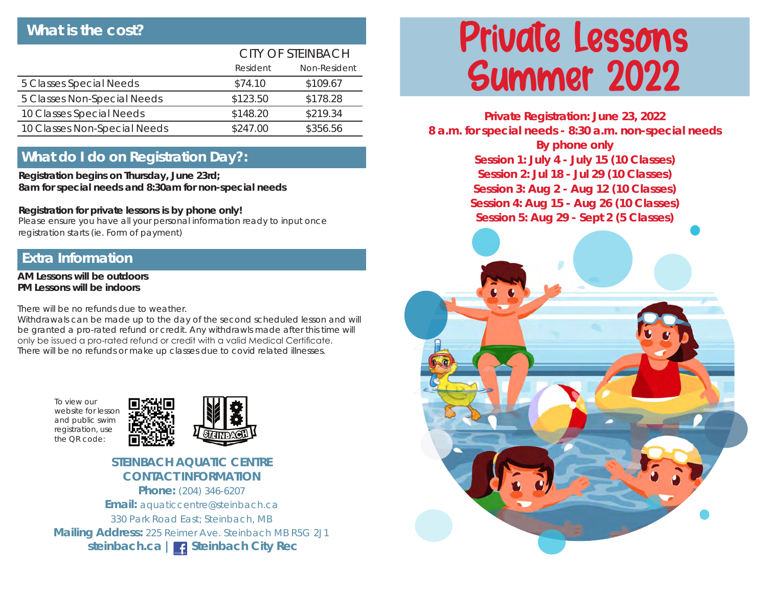## **What is the cost?**

|                              | <b>CITY OF STEINBACH</b> |              |
|------------------------------|--------------------------|--------------|
|                              | Resident                 | Non-Resident |
| 5 Classes Special Needs      | \$74.10                  | \$109.67     |
| 5 Classes Non-Special Needs  | \$123.50                 | \$178.28     |
| 10 Classes Special Needs     | \$148.20                 | \$219.34     |
| 10 Classes Non-Special Needs | \$247.00                 | \$356.56     |

### **What do I do on Registration Day?:**

**Registration begins on Thursday, June 23rd; 8am for special needs and 8:30am for non-special needs** 

#### **Registration for private lessons is by phone only!**

Please ensure you have all your personal information ready to input once registration starts (ie. Form of payment)

#### **Extra Information**

**AM Lessons will be outdoors PM Lessons will be indoors**

There will be no refunds due to weather.

Withdrawals can be made up to the day of the second scheduled lesson and will be granted a pro-rated refund or credit. Any withdrawls made after this time will only be issued a pro-rated refund or credit with a valid Medical Certificate. There will be no refunds or make up classes due to covid related illnesses.

To view our website for lesson and public swim registration, use the QR code:



#### **STEINBACH AQUATIC CENTRE CONTACT INFORMATION**

**Phone:** (204) 346-6207 **Email:** aquaticcentre@steinbach.ca 330 Park Road East; Steinbach, MB **Mailing Address:** 225 Reimer Ave. Steinbach MB R5G 2J1 steinbach.ca | **C** Steinbach City Rec

# Private Lessons Summer 2022

**Private Registration: June 23, 2022 8 a.m. for special needs - 8:30 a.m. non-special needs By phone only Session 1: July 4 - July 15 (10 Classes) Session 2: Jul 18 - Jul 29 (10 Classes) Session 3: Aug 2 - Aug 12 (10 Classes) Session 4: Aug 15 - Aug 26 (10 Classes) Session 5: Aug 29 - Sept 2 (5 Classes)**